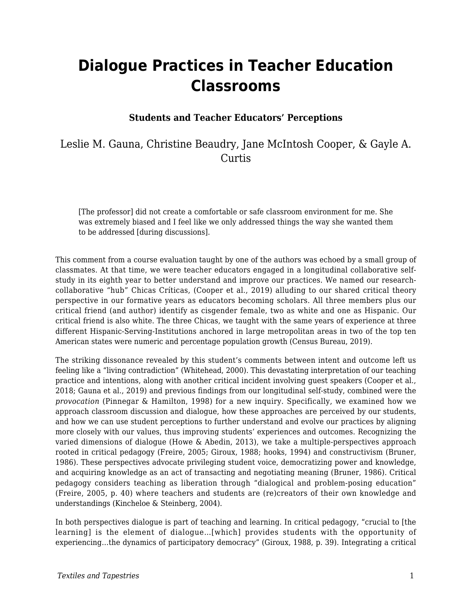# **Dialogue Practices in Teacher Education Classrooms**

#### **Students and Teacher Educators' Perceptions**

### Leslie M. Gauna, Christine Beaudry, Jane McIntosh Cooper, & Gayle A. Curtis

[The professor] did not create a comfortable or safe classroom environment for me. She was extremely biased and I feel like we only addressed things the way she wanted them to be addressed [during discussions].

This comment from a course evaluation taught by one of the authors was echoed by a small group of classmates. At that time, we were teacher educators engaged in a longitudinal collaborative selfstudy in its eighth year to better understand and improve our practices. We named our researchcollaborative "hub" Chicas Críticas, (Cooper et al., 2019) alluding to our shared critical theory perspective in our formative years as educators becoming scholars. All three members plus our critical friend (and author) identify as cisgender female, two as white and one as Hispanic. Our critical friend is also white. The three Chicas, we taught with the same years of experience at three different Hispanic-Serving-Institutions anchored in large metropolitan areas in two of the top ten American states were numeric and percentage population growth (Census Bureau, 2019).

The striking dissonance revealed by this student's comments between intent and outcome left us feeling like a "living contradiction" (Whitehead, 2000). This devastating interpretation of our teaching practice and intentions, along with another critical incident involving guest speakers (Cooper et al., 2018; Gauna et al., 2019) and previous findings from our longitudinal self-study, combined were the *provocation* (Pinnegar & Hamilton, 1998) for a new inquiry. Specifically, we examined how we approach classroom discussion and dialogue, how these approaches are perceived by our students, and how we can use student perceptions to further understand and evolve our practices by aligning more closely with our values, thus improving students' experiences and outcomes. Recognizing the varied dimensions of dialogue (Howe & Abedin, 2013), we take a multiple-perspectives approach rooted in critical pedagogy (Freire, 2005; Giroux, 1988; hooks, 1994) and constructivism (Bruner, 1986). These perspectives advocate privileging student voice, democratizing power and knowledge, and acquiring knowledge as an act of transacting and negotiating meaning (Bruner, 1986). Critical pedagogy considers teaching as liberation through "dialogical and problem-posing education" (Freire, 2005, p. 40) where teachers and students are (re)creators of their own knowledge and understandings (Kincheloe & Steinberg, 2004).

In both perspectives dialogue is part of teaching and learning. In critical pedagogy, "crucial to [the learning] is the element of dialogue…[which] provides students with the opportunity of experiencing…the dynamics of participatory democracy" (Giroux, 1988, p. 39). Integrating a critical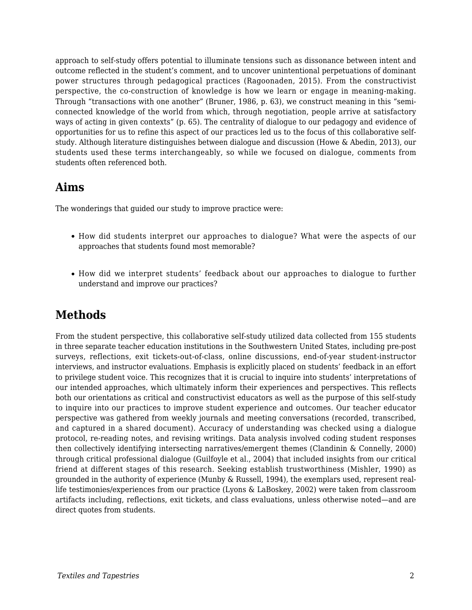approach to self-study offers potential to illuminate tensions such as dissonance between intent and outcome reflected in the student's comment, and to uncover unintentional perpetuations of dominant power structures through pedagogical practices (Ragoonaden, 2015). From the constructivist perspective, the co-construction of knowledge is how we learn or engage in meaning-making. Through "transactions with one another" (Bruner, 1986, p. 63), we construct meaning in this "semiconnected knowledge of the world from which, through negotiation, people arrive at satisfactory ways of acting in given contexts" (p. 65). The centrality of dialogue to our pedagogy and evidence of opportunities for us to refine this aspect of our practices led us to the focus of this collaborative selfstudy. Although literature distinguishes between dialogue and discussion (Howe & Abedin, 2013), our students used these terms interchangeably, so while we focused on dialogue, comments from students often referenced both.

### **Aims**

The wonderings that guided our study to improve practice were:

- How did students interpret our approaches to dialogue? What were the aspects of our approaches that students found most memorable?
- How did we interpret students' feedback about our approaches to dialogue to further understand and improve our practices?

# **Methods**

From the student perspective, this collaborative self-study utilized data collected from 155 students in three separate teacher education institutions in the Southwestern United States, including pre-post surveys, reflections, exit tickets-out-of-class, online discussions, end-of-year student-instructor interviews, and instructor evaluations. Emphasis is explicitly placed on students' feedback in an effort to privilege student voice. This recognizes that it is crucial to inquire into students' interpretations of our intended approaches, which ultimately inform their experiences and perspectives. This reflects both our orientations as critical and constructivist educators as well as the purpose of this self-study to inquire into our practices to improve student experience and outcomes. Our teacher educator perspective was gathered from weekly journals and meeting conversations (recorded, transcribed, and captured in a shared document). Accuracy of understanding was checked using a dialogue protocol, re-reading notes, and revising writings. Data analysis involved coding student responses then collectively identifying intersecting narratives/emergent themes (Clandinin & Connelly, 2000) through critical professional dialogue (Guilfoyle et al., 2004) that included insights from our critical friend at different stages of this research. Seeking establish trustworthiness (Mishler, 1990) as grounded in the authority of experience (Munby & Russell, 1994), the exemplars used, represent reallife testimonies/experiences from our practice (Lyons & LaBoskey, 2002) were taken from classroom artifacts including, reflections, exit tickets, and class evaluations, unless otherwise noted—and are direct quotes from students.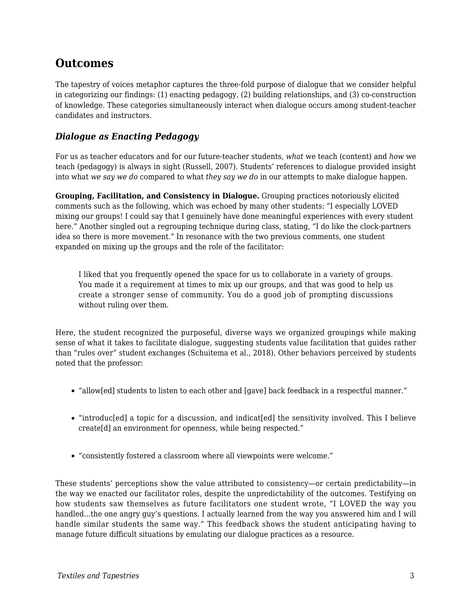### **Outcomes**

The tapestry of voices metaphor captures the three-fold purpose of dialogue that we consider helpful in categorizing our findings: (1) enacting pedagogy, (2) building relationships, and (3) co-construction of knowledge. These categories simultaneously interact when dialogue occurs among student-teacher candidates and instructors.

#### *Dialogue as Enacting Pedagogy*

For us as teacher educators and for our future-teacher students, *what* we teach (content) and *how* we teach (pedagogy) is always in sight (Russell, 2007). Students' references to dialogue provided insight into what *we say we do* compared to what *they say we do* in our attempts to make dialogue happen.

**Grouping, Facilitation, and Consistency in Dialogue.** Grouping practices notoriously elicited comments such as the following, which was echoed by many other students: "I especially LOVED mixing our groups! I could say that I genuinely have done meaningful experiences with every student here." Another singled out a regrouping technique during class, stating, "I do like the clock-partners idea so there is more movement." In resonance with the two previous comments, one student expanded on mixing up the groups and the role of the facilitator:

I liked that you frequently opened the space for us to collaborate in a variety of groups. You made it a requirement at times to mix up our groups, and that was good to help us create a stronger sense of community. You do a good job of prompting discussions without ruling over them.

Here, the student recognized the purposeful, diverse ways we organized groupings while making sense of what it takes to facilitate dialogue, suggesting students value facilitation that guides rather than "rules over" student exchanges (Schuitema et al., 2018). Other behaviors perceived by students noted that the professor:

- "allow[ed] students to listen to each other and [gave] back feedback in a respectful manner."
- "introduc[ed] a topic for a discussion, and indicat[ed] the sensitivity involved. This I believe create[d] an environment for openness, while being respected."
- "consistently fostered a classroom where all viewpoints were welcome."

These students' perceptions show the value attributed to consistency—or certain predictability—in the way we enacted our facilitator roles, despite the unpredictability of the outcomes. Testifying on how students saw themselves as future facilitators one student wrote, "I LOVED the way you handled...the one angry guy's questions. I actually learned from the way you answered him and I will handle similar students the same way." This feedback shows the student anticipating having to manage future difficult situations by emulating our dialogue practices as a resource.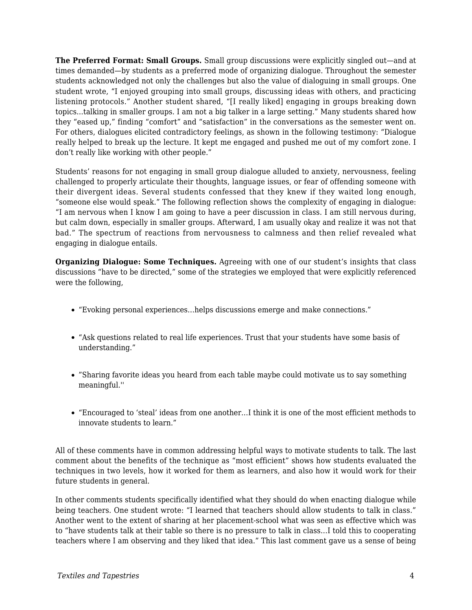**The Preferred Format: Small Groups.** Small group discussions were explicitly singled out—and at times demanded—by students as a preferred mode of organizing dialogue. Throughout the semester students acknowledged not only the challenges but also the value of dialoguing in small groups. One student wrote, "I enjoyed grouping into small groups, discussing ideas with others, and practicing listening protocols." Another student shared, "[I really liked] engaging in groups breaking down topics...talking in smaller groups. I am not a big talker in a large setting." Many students shared how they "eased up," finding "comfort" and "satisfaction" in the conversations as the semester went on. For others, dialogues elicited contradictory feelings, as shown in the following testimony: "Dialogue really helped to break up the lecture. It kept me engaged and pushed me out of my comfort zone. I don't really like working with other people."

Students' reasons for not engaging in small group dialogue alluded to anxiety, nervousness, feeling challenged to properly articulate their thoughts, language issues, or fear of offending someone with their divergent ideas. Several students confessed that they knew if they waited long enough, "someone else would speak." The following reflection shows the complexity of engaging in dialogue: "I am nervous when I know I am going to have a peer discussion in class. I am still nervous during, but calm down, especially in smaller groups. Afterward, I am usually okay and realize it was not that bad." The spectrum of reactions from nervousness to calmness and then relief revealed what engaging in dialogue entails.

**Organizing Dialogue: Some Techniques.** Agreeing with one of our student's insights that class discussions "have to be directed," some of the strategies we employed that were explicitly referenced were the following,

- "Evoking personal experiences…helps discussions emerge and make connections."
- "Ask questions related to real life experiences. Trust that your students have some basis of understanding."
- "Sharing favorite ideas you heard from each table maybe could motivate us to say something meaningful.''
- "Encouraged to 'steal' ideas from one another…I think it is one of the most efficient methods to innovate students to learn."

All of these comments have in common addressing helpful ways to motivate students to talk. The last comment about the benefits of the technique as "most efficient" shows how students evaluated the techniques in two levels, how it worked for them as learners, and also how it would work for their future students in general.

In other comments students specifically identified what they should do when enacting dialogue while being teachers. One student wrote: "I learned that teachers should allow students to talk in class." Another went to the extent of sharing at her placement-school what was seen as effective which was to "have students talk at their table so there is no pressure to talk in class…I told this to cooperating teachers where I am observing and they liked that idea." This last comment gave us a sense of being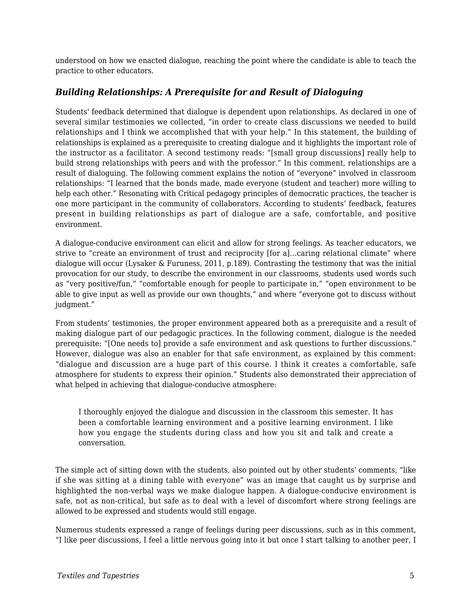understood on how we enacted dialogue, reaching the point where the candidate is able to teach the practice to other educators.

#### *Building Relationships: A Prerequisite for and Result of Dialoguing*

Students' feedback determined that dialogue is dependent upon relationships. As declared in one of several similar testimonies we collected, "in order to create class discussions we needed to build relationships and I think we accomplished that with your help." In this statement, the building of relationships is explained as a prerequisite to creating dialogue and it highlights the important role of the instructor as a facilitator. A second testimony reads: "[small group discussions] really help to build strong relationships with peers and with the professor." In this comment, relationships are a result of dialoguing. The following comment explains the notion of "everyone" involved in classroom relationships: "I learned that the bonds made, made everyone (student and teacher) more willing to help each other." Resonating with Critical pedagogy principles of democratic practices, the teacher is one more participant in the community of collaborators. According to students' feedback, features present in building relationships as part of dialogue are a safe, comfortable, and positive environment.

A dialogue-conducive environment can elicit and allow for strong feelings. As teacher educators, we strive to "create an environment of trust and reciprocity [for a]...caring relational climate" where dialogue will occur (Lysaker & Furuness, 2011, p.189). Contrasting the testimony that was the initial provocation for our study, to describe the environment in our classrooms, students used words such as "very positive/fun," "comfortable enough for people to participate in," "open environment to be able to give input as well as provide our own thoughts," and where "everyone got to discuss without judgment."

From students' testimonies, the proper environment appeared both as a prerequisite and a result of making dialogue part of our pedagogic practices. In the following comment, dialogue is the needed prerequisite: "[One needs to] provide a safe environment and ask questions to further discussions." However, dialogue was also an enabler for that safe environment, as explained by this comment: "dialogue and discussion are a huge part of this course. I think it creates a comfortable, safe atmosphere for students to express their opinion." Students also demonstrated their appreciation of what helped in achieving that dialogue-conducive atmosphere:

I thoroughly enjoyed the dialogue and discussion in the classroom this semester. It has been a comfortable learning environment and a positive learning environment. I like how you engage the students during class and how you sit and talk and create a conversation.

The simple act of sitting down with the students, also pointed out by other students' comments, "like if she was sitting at a dining table with everyone" was an image that caught us by surprise and highlighted the non-verbal ways we make dialogue happen. A dialogue-conducive environment is safe, not as non-critical, but safe as to deal with a level of discomfort where strong feelings are allowed to be expressed and students would still engage.

Numerous students expressed a range of feelings during peer discussions, such as in this comment, "I like peer discussions, I feel a little nervous going into it but once I start talking to another peer, I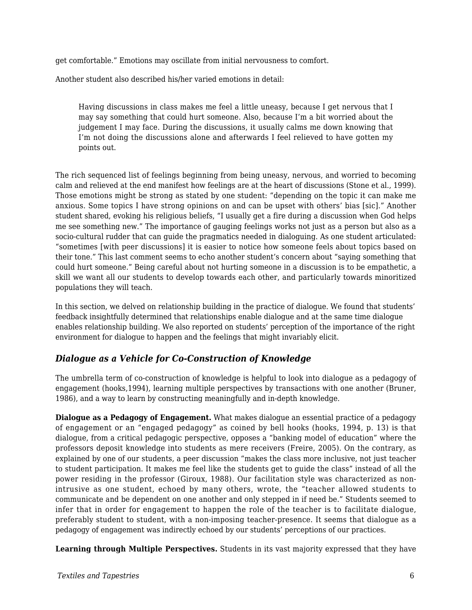get comfortable." Emotions may oscillate from initial nervousness to comfort.

Another student also described his/her varied emotions in detail:

Having discussions in class makes me feel a little uneasy, because I get nervous that I may say something that could hurt someone. Also, because I'm a bit worried about the judgement I may face. During the discussions, it usually calms me down knowing that I'm not doing the discussions alone and afterwards I feel relieved to have gotten my points out.

The rich sequenced list of feelings beginning from being uneasy, nervous, and worried to becoming calm and relieved at the end manifest how feelings are at the heart of discussions (Stone et al., 1999). Those emotions might be strong as stated by one student: "depending on the topic it can make me anxious. Some topics I have strong opinions on and can be upset with others' bias [sic]." Another student shared, evoking his religious beliefs, "I usually get a fire during a discussion when God helps me see something new." The importance of gauging feelings works not just as a person but also as a socio-cultural rudder that can guide the pragmatics needed in dialoguing. As one student articulated: "sometimes [with peer discussions] it is easier to notice how someone feels about topics based on their tone." This last comment seems to echo another student's concern about "saying something that could hurt someone." Being careful about not hurting someone in a discussion is to be empathetic, a skill we want all our students to develop towards each other, and particularly towards minoritized populations they will teach.

In this section, we delved on relationship building in the practice of dialogue. We found that students' feedback insightfully determined that relationships enable dialogue and at the same time dialogue enables relationship building. We also reported on students' perception of the importance of the right environment for dialogue to happen and the feelings that might invariably elicit.

#### *Dialogue as a Vehicle for Co-Construction of Knowledge*

The umbrella term of co-construction of knowledge is helpful to look into dialogue as a pedagogy of engagement (hooks,1994), learning multiple perspectives by transactions with one another (Bruner, 1986), and a way to learn by constructing meaningfully and in-depth knowledge.

**Dialogue as a Pedagogy of Engagement.** What makes dialogue an essential practice of a pedagogy of engagement or an "engaged pedagogy" as coined by bell hooks (hooks, 1994, p. 13) is that dialogue, from a critical pedagogic perspective, opposes a "banking model of education" where the professors deposit knowledge into students as mere receivers (Freire, 2005). On the contrary, as explained by one of our students, a peer discussion "makes the class more inclusive, not just teacher to student participation. It makes me feel like the students get to guide the class" instead of all the power residing in the professor (Giroux, 1988). Our facilitation style was characterized as nonintrusive as one student, echoed by many others, wrote, the "teacher allowed students to communicate and be dependent on one another and only stepped in if need be." Students seemed to infer that in order for engagement to happen the role of the teacher is to facilitate dialogue, preferably student to student, with a non-imposing teacher-presence. It seems that dialogue as a pedagogy of engagement was indirectly echoed by our students' perceptions of our practices.

**Learning through Multiple Perspectives.** Students in its vast majority expressed that they have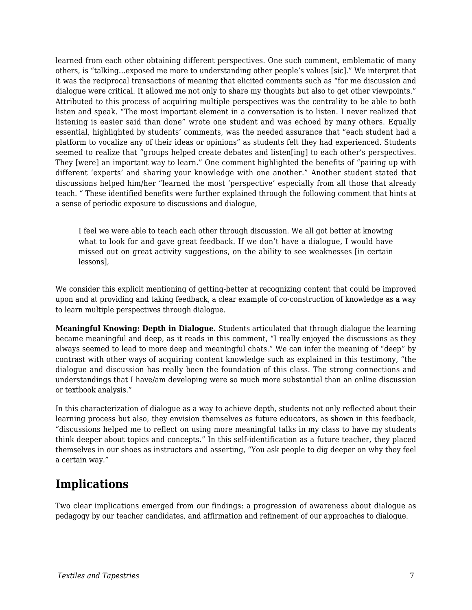learned from each other obtaining different perspectives. One such comment, emblematic of many others, is "talking…exposed me more to understanding other people's values [sic]." We interpret that it was the reciprocal transactions of meaning that elicited comments such as "for me discussion and dialogue were critical. It allowed me not only to share my thoughts but also to get other viewpoints." Attributed to this process of acquiring multiple perspectives was the centrality to be able to both listen and speak. "The most important element in a conversation is to listen. I never realized that listening is easier said than done" wrote one student and was echoed by many others. Equally essential, highlighted by students' comments, was the needed assurance that "each student had a platform to vocalize any of their ideas or opinions" as students felt they had experienced. Students seemed to realize that "groups helped create debates and listen[ing] to each other's perspectives. They [were] an important way to learn." One comment highlighted the benefits of "pairing up with different 'experts' and sharing your knowledge with one another." Another student stated that discussions helped him/her "learned the most 'perspective' especially from all those that already teach. " These identified benefits were further explained through the following comment that hints at a sense of periodic exposure to discussions and dialogue,

I feel we were able to teach each other through discussion. We all got better at knowing what to look for and gave great feedback. If we don't have a dialogue, I would have missed out on great activity suggestions, on the ability to see weaknesses [in certain lessons],

We consider this explicit mentioning of getting-better at recognizing content that could be improved upon and at providing and taking feedback, a clear example of co-construction of knowledge as a way to learn multiple perspectives through dialogue.

**Meaningful Knowing: Depth in Dialogue.** Students articulated that through dialogue the learning became meaningful and deep, as it reads in this comment, "I really enjoyed the discussions as they always seemed to lead to more deep and meaningful chats." We can infer the meaning of "deep" by contrast with other ways of acquiring content knowledge such as explained in this testimony, "the dialogue and discussion has really been the foundation of this class. The strong connections and understandings that I have/am developing were so much more substantial than an online discussion or textbook analysis."

In this characterization of dialogue as a way to achieve depth, students not only reflected about their learning process but also, they envision themselves as future educators, as shown in this feedback, "discussions helped me to reflect on using more meaningful talks in my class to have my students think deeper about topics and concepts." In this self-identification as a future teacher, they placed themselves in our shoes as instructors and asserting, "You ask people to dig deeper on why they feel a certain way."

# **Implications**

Two clear implications emerged from our findings: a progression of awareness about dialogue as pedagogy by our teacher candidates, and affirmation and refinement of our approaches to dialogue.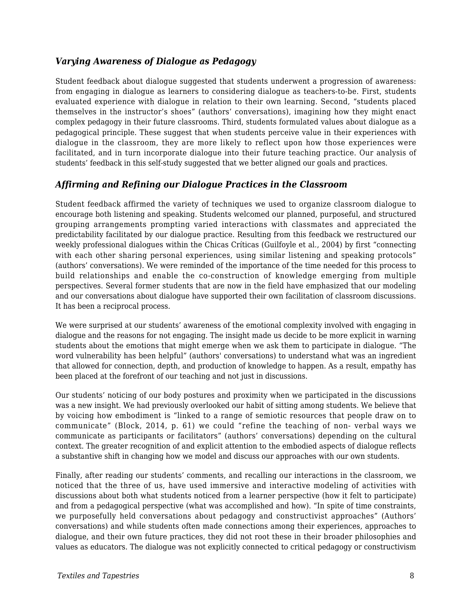#### *Varying Awareness of Dialogue as Pedagogy*

Student feedback about dialogue suggested that students underwent a progression of awareness: from engaging in dialogue as learners to considering dialogue as teachers-to-be. First, students evaluated experience with dialogue in relation to their own learning. Second, "students placed themselves in the instructor's shoes" (authors' conversations), imagining how they might enact complex pedagogy in their future classrooms. Third, students formulated values about dialogue as a pedagogical principle. These suggest that when students perceive value in their experiences with dialogue in the classroom, they are more likely to reflect upon how those experiences were facilitated, and in turn incorporate dialogue into their future teaching practice. Our analysis of students' feedback in this self-study suggested that we better aligned our goals and practices.

#### *Affirming and Refining our Dialogue Practices in the Classroom*

Student feedback affirmed the variety of techniques we used to organize classroom dialogue to encourage both listening and speaking. Students welcomed our planned, purposeful, and structured grouping arrangements prompting varied interactions with classmates and appreciated the predictability facilitated by our dialogue practice. Resulting from this feedback we restructured our weekly professional dialogues within the Chicas Críticas (Guilfoyle et al., 2004) by first "connecting with each other sharing personal experiences, using similar listening and speaking protocols" (authors' conversations). We were reminded of the importance of the time needed for this process to build relationships and enable the co-construction of knowledge emerging from multiple perspectives. Several former students that are now in the field have emphasized that our modeling and our conversations about dialogue have supported their own facilitation of classroom discussions. It has been a reciprocal process.

We were surprised at our students' awareness of the emotional complexity involved with engaging in dialogue and the reasons for not engaging. The insight made us decide to be more explicit in warning students about the emotions that might emerge when we ask them to participate in dialogue. "The word vulnerability has been helpful" (authors' conversations) to understand what was an ingredient that allowed for connection, depth, and production of knowledge to happen. As a result, empathy has been placed at the forefront of our teaching and not just in discussions.

Our students' noticing of our body postures and proximity when we participated in the discussions was a new insight. We had previously overlooked our habit of sitting among students. We believe that by voicing how embodiment is "linked to a range of semiotic resources that people draw on to communicate" (Block, 2014, p. 61) we could "refine the teaching of non- verbal ways we communicate as participants or facilitators" (authors' conversations) depending on the cultural context. The greater recognition of and explicit attention to the embodied aspects of dialogue reflects a substantive shift in changing how we model and discuss our approaches with our own students.

Finally, after reading our students' comments, and recalling our interactions in the classroom, we noticed that the three of us, have used immersive and interactive modeling of activities with discussions about both what students noticed from a learner perspective (how it felt to participate) and from a pedagogical perspective (what was accomplished and how). "In spite of time constraints, we purposefully held conversations about pedagogy and constructivist approaches" (Authors' conversations) and while students often made connections among their experiences, approaches to dialogue, and their own future practices, they did not root these in their broader philosophies and values as educators. The dialogue was not explicitly connected to critical pedagogy or constructivism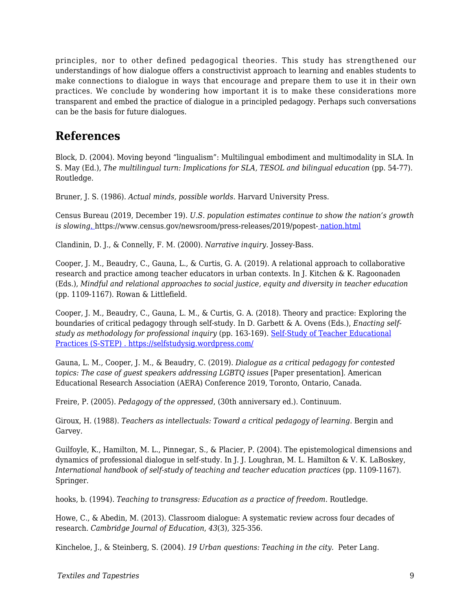principles, nor to other defined pedagogical theories. This study has strengthened our understandings of how dialogue offers a constructivist approach to learning and enables students to make connections to dialogue in ways that encourage and prepare them to use it in their own practices. We conclude by wondering how important it is to make these considerations more transparent and embed the practice of dialogue in a principled pedagogy. Perhaps such conversations can be the basis for future dialogues.

## **References**

Block, D. (2004). Moving beyond "lingualism": Multilingual embodiment and multimodality in SLA. In S. May (Ed.), *The multilingual turn: Implications for SLA, TESOL and bilingual education* (pp. 54-77). Routledge.

Bruner, J. S. (1986). *Actual minds, possible worlds*. Harvard University Press.

Census Bureau (2019, December 19). *U.S. population estimates continue to show the nation's growth is slowing*[.](https://www.census.gov/newsroom/press-releases/2019/popest-nation.html) https://www.census.gov/newsroom/press-releases/2019/popest- [nation.html](https://www.census.gov/newsroom/press-releases/2019/popest-nation.html)

Clandinin, D. J., & Connelly, F. M. (2000). *Narrative inquiry.* Jossey-Bass.

Cooper, J. M., Beaudry, C., Gauna, L., & Curtis, G. A. (2019). A relational approach to collaborative research and practice among teacher educators in urban contexts. In J. Kitchen & K. Ragoonaden (Eds.), *Mindful and relational approaches to social justice, equity and diversity in teacher education* (pp. 1109-1167). Rowan & Littlefield.

Cooper, J. M., Beaudry, C., Gauna, L. M., & Curtis, G. A. (2018). Theory and practice: Exploring the boundaries of critical pedagogy through self-study. In D. Garbett & A. Ovens (Eds.), *Enacting selfstudy as methodology for professional inquiry* (pp. 163-169)*.* [Self-Study of Teacher Educational](https://selfstudysig.wordpress.com/) [Practices \(S-STEP\) . https://selfstudysig.wordpress.com/](https://selfstudysig.wordpress.com/)

Gauna, L. M., Cooper, J. M., & Beaudry, C. (2019). *Dialogue as a critical pedagogy for contested* topics: The case of guest speakers addressing LGBTQ issues [Paper presentation]. American Educational Research Association (AERA) Conference 2019, Toronto, Ontario, Canada.

Freire, P. (2005). *Pedagogy of the oppressed*, (30th anniversary ed.). Continuum.

Giroux, H. (1988). *Teachers as intellectuals: Toward a critical pedagogy of learning.* Bergin and Garvey.

Guilfoyle, K., Hamilton, M. L., Pinnegar, S., & Placier, P. (2004). The epistemological dimensions and dynamics of professional dialogue in self-study. In J. J. Loughran, M. L. Hamilton & V. K. LaBoskey, *International handbook of self-study of teaching and teacher education practices* (pp. 1109-1167). Springer.

hooks, b. (1994). *Teaching to transgress: Education as a practice of freedom.* Routledge.

Howe, C., & Abedin, M. (2013). Classroom dialogue: A systematic review across four decades of research*. Cambridge Journal of Education*, *43*(3), 325-356.

Kincheloe, J., & Steinberg, S. (2004). *19 Urban questions: Teaching in the city.* Peter Lang.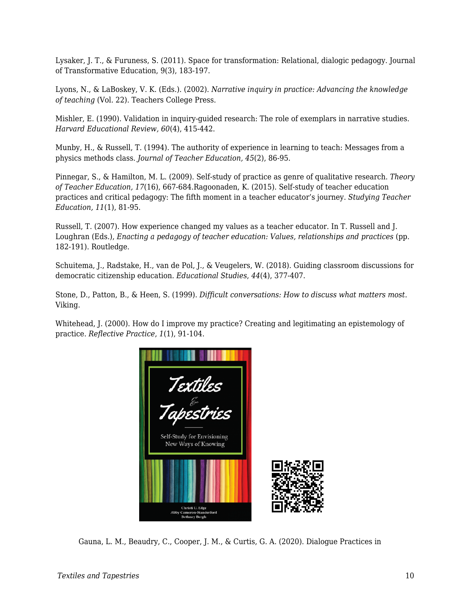Lysaker, J. T., & Furuness, S. (2011). Space for transformation: Relational, dialogic pedagogy. Journal of Transformative Education, 9(3), 183-197.

Lyons, N., & LaBoskey, V. K. (Eds.). (2002). *Narrative inquiry in practice: Advancing the knowledge of teaching* (Vol. 22). Teachers College Press.

Mishler, E. (1990). Validation in inquiry-guided research: The role of exemplars in narrative studies. *Harvard Educational Review, 60*(4), 415-442.

Munby, H., & Russell, T. (1994). The authority of experience in learning to teach: Messages from a physics methods class. *Journal of Teacher Education, 45*(2), 86-95.

Pinnegar, S., & Hamilton, M. L. (2009). Self-study of practice as genre of qualitative research. *Theory of Teacher Education, 17*(16), 667-684.Ragoonaden, K. (2015). Self-study of teacher education practices and critical pedagogy: The fifth moment in a teacher educator's journey. *Studying Teacher Education, 11*(1), 81-95.

Russell, T. (2007). How experience changed my values as a teacher educator. In T. Russell and J. Loughran (Eds.), *Enacting a pedagogy of teacher education: Values, relationships and practices* (pp. 182-191). Routledge.

Schuitema, J., Radstake, H., van de Pol, J., & Veugelers, W. (2018). Guiding classroom discussions for democratic citizenship education. *Educational Studies*, *44*(4), 377-407.

Stone, D., Patton, B., & Heen, S. (1999). *Difficult conversations: How to discuss what matters most*. Viking.

Whitehead, J. (2000). How do I improve my practice? Creating and legitimating an epistemology of practice. *Reflective Practice*, *1*(1), 91-104.



Gauna, L. M., Beaudry, C., Cooper, J. M., & Curtis, G. A. (2020). Dialogue Practices in